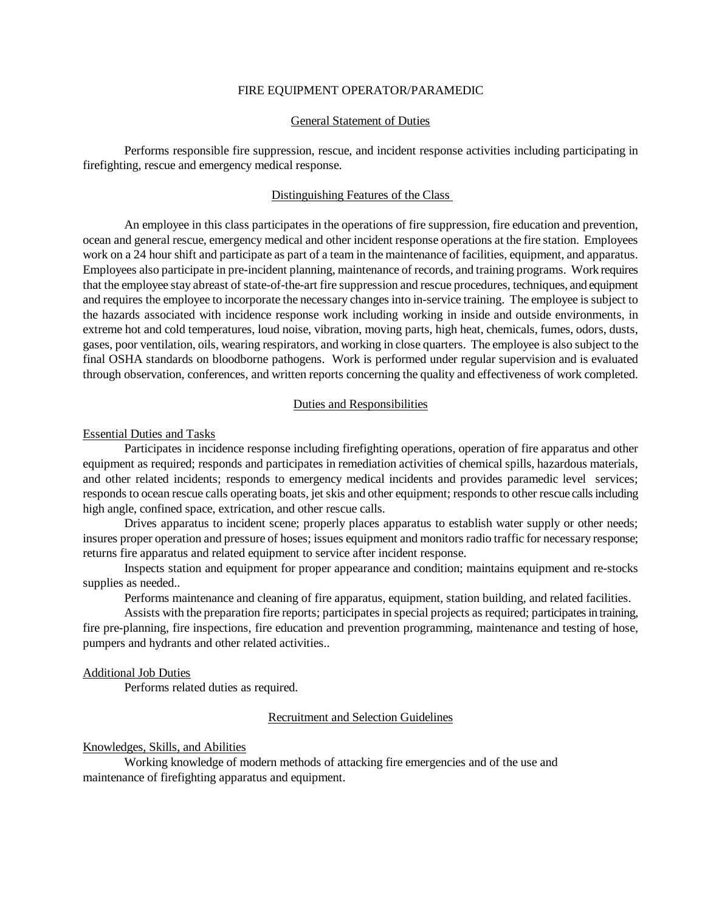#### FIRE EQUIPMENT OPERATOR/PARAMEDIC

### General Statement of Duties

Performs responsible fire suppression, rescue, and incident response activities including participating in firefighting, rescue and emergency medical response.

### Distinguishing Features of the Class

An employee in this class participates in the operations of fire suppression, fire education and prevention, ocean and general rescue, emergency medical and other incident response operations at the fire station. Employees work on a 24 hour shift and participate as part of a team in the maintenance of facilities, equipment, and apparatus. Employees also participate in pre-incident planning, maintenance of records, and training programs. Work requires that the employee stay abreast of state-of-the-art fire suppression and rescue procedures, techniques, and equipment and requires the employee to incorporate the necessary changes into in-service training. The employee is subject to the hazards associated with incidence response work including working in inside and outside environments, in extreme hot and cold temperatures, loud noise, vibration, moving parts, high heat, chemicals, fumes, odors, dusts, gases, poor ventilation, oils, wearing respirators, and working in close quarters. The employee is also subject to the final OSHA standards on bloodborne pathogens. Work is performed under regular supervision and is evaluated through observation, conferences, and written reports concerning the quality and effectiveness of work completed.

### Duties and Responsibilities

#### Essential Duties and Tasks

Participates in incidence response including firefighting operations, operation of fire apparatus and other equipment as required; responds and participates in remediation activities of chemical spills, hazardous materials, and other related incidents; responds to emergency medical incidents and provides paramedic level services; responds to ocean rescue calls operating boats, jet skis and other equipment; responds to other rescue calls including high angle, confined space, extrication, and other rescue calls.

Drives apparatus to incident scene; properly places apparatus to establish water supply or other needs; insures proper operation and pressure of hoses; issues equipment and monitors radio traffic for necessary response; returns fire apparatus and related equipment to service after incident response.

Inspects station and equipment for proper appearance and condition; maintains equipment and re-stocks supplies as needed..

Performs maintenance and cleaning of fire apparatus, equipment, station building, and related facilities.

Assists with the preparation fire reports; participates in special projects as required; participates in training, fire pre-planning, fire inspections, fire education and prevention programming, maintenance and testing of hose, pumpers and hydrants and other related activities..

#### Additional Job Duties

Performs related duties as required.

### Recruitment and Selection Guidelines

### Knowledges, Skills, and Abilities

Working knowledge of modern methods of attacking fire emergencies and of the use and maintenance of firefighting apparatus and equipment.